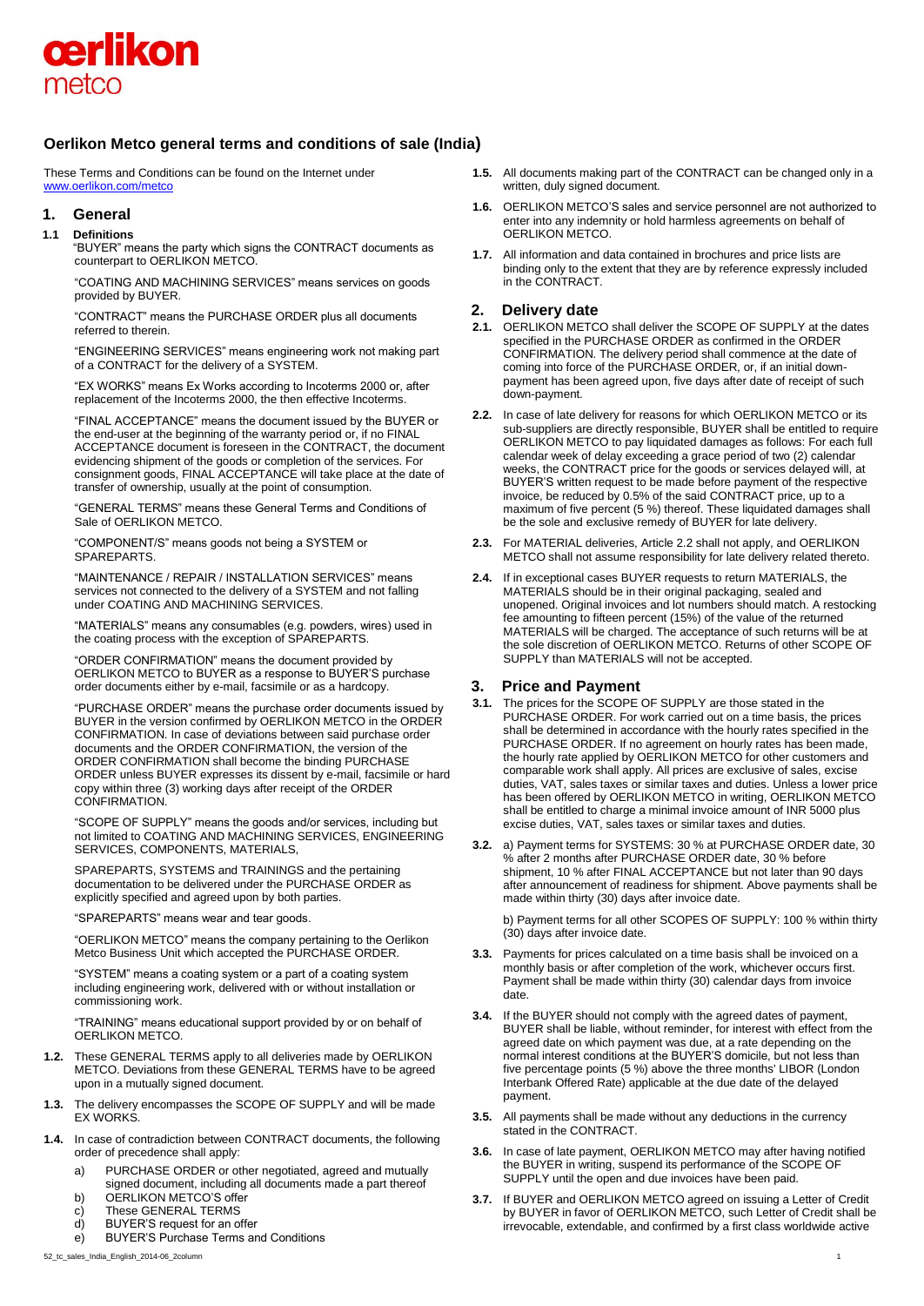

# **Oerlikon Metco general terms and conditions of sale (India)**

These Terms and Conditions can be found on the Internet under [www.oerlikon.com/metco](http://www.oerlikon.com/metco)

#### **1. General**

#### **1.1 Definitions**

"BUYER" means the party which signs the CONTRACT documents as counterpart to OERLIKON METCO.

"COATING AND MACHINING SERVICES" means services on goods provided by BUYER.

"CONTRACT" means the PURCHASE ORDER plus all documents referred to therein.

"ENGINEERING SERVICES" means engineering work not making part of a CONTRACT for the delivery of a SYSTEM.

"EX WORKS" means Ex Works according to Incoterms 2000 or, after replacement of the Incoterms 2000, the then effective Incoterms.

"FINAL ACCEPTANCE" means the document issued by the BUYER or the end-user at the beginning of the warranty period or, if no FINAL ACCEPTANCE document is foreseen in the CONTRACT, the document evidencing shipment of the goods or completion of the services. For consignment goods, FINAL ACCEPTANCE will take place at the date of transfer of ownership, usually at the point of consumption.

"GENERAL TERMS" means these General Terms and Conditions of Sale of OERLIKON METCO.

"COMPONENT/S" means goods not being a SYSTEM or SPAREPARTS.

"MAINTENANCE / REPAIR / INSTALLATION SERVICES" means services not connected to the delivery of a SYSTEM and not falling under COATING AND MACHINING SERVICES.

"MATERIALS" means any consumables (e.g. powders, wires) used in the coating process with the exception of SPAREPARTS.

"ORDER CONFIRMATION" means the document provided by OERLIKON METCO to BUYER as a response to BUYER'S purchase order documents either by e-mail, facsimile or as a hardcopy.

"PURCHASE ORDER" means the purchase order documents issued by BUYER in the version confirmed by OERLIKON METCO in the ORDER CONFIRMATION. In case of deviations between said purchase order documents and the ORDER CONFIRMATION, the version of the ORDER CONFIRMATION shall become the binding PURCHASE ORDER unless BUYER expresses its dissent by e-mail, facsimile or hard copy within three (3) working days after receipt of the ORDER CONFIRMATION.

"SCOPE OF SUPPLY" means the goods and/or services, including but not limited to COATING AND MACHINING SERVICES, ENGINEERING SERVICES, COMPONENTS, MATERIALS,

SPAREPARTS, SYSTEMS and TRAININGS and the pertaining documentation to be delivered under the PURCHASE ORDER as explicitly specified and agreed upon by both parties.

"SPAREPARTS" means wear and tear goods.

"OERLIKON METCO" means the company pertaining to the Oerlikon Metco Business Unit which accepted the PURCHASE ORDER.

"SYSTEM" means a coating system or a part of a coating system including engineering work, delivered with or without installation or commissioning work.

"TRAINING" means educational support provided by or on behalf of OERLIKON METCO.

- **1.2.** These GENERAL TERMS apply to all deliveries made by OERLIKON METCO. Deviations from these GENERAL TERMS have to be agreed upon in a mutually signed document.
- **1.3.** The delivery encompasses the SCOPE OF SUPPLY and will be made EX WORKS.
- **1.4.** In case of contradiction between CONTRACT documents, the following order of precedence shall apply:
	- a) PURCHASE ORDER or other negotiated, agreed and mutually signed document, including all documents made a part thereof
	- b) OERLIKON METCO'S offer
	- c) These GENERAL TERMS
	- d) BUYER'S request for an offer
	- e) BUYER'S Purchase Terms and Conditions
- 52\_tc\_sales\_India\_English\_2014-06\_2column 1
- **1.5.** All documents making part of the CONTRACT can be changed only in a written, duly signed document.
- **1.6.** OERLIKON METCO'S sales and service personnel are not authorized to enter into any indemnity or hold harmless agreements on behalf of OERLIKON METCO.
- **1.7.** All information and data contained in brochures and price lists are binding only to the extent that they are by reference expressly included in the CONTRACT.

# **2. Delivery date**

- **2.1.** OERLIKON METCO shall deliver the SCOPE OF SUPPLY at the dates specified in the PURCHASE ORDER as confirmed in the ORDER CONFIRMATION. The delivery period shall commence at the date of coming into force of the PURCHASE ORDER, or, if an initial downpayment has been agreed upon, five days after date of receipt of such down-payment.
- **2.2.** In case of late delivery for reasons for which OERLIKON METCO or its sub-suppliers are directly responsible, BUYER shall be entitled to require OERLIKON METCO to pay liquidated damages as follows: For each full calendar week of delay exceeding a grace period of two (2) calendar weeks, the CONTRACT price for the goods or services delayed will, at BUYER'S written request to be made before payment of the respective invoice, be reduced by 0.5% of the said CONTRACT price, up to a maximum of five percent (5 %) thereof. These liquidated damages shall be the sole and exclusive remedy of BUYER for late delivery.
- **2.3.** For MATERIAL deliveries, Article 2.2 shall not apply, and OERLIKON METCO shall not assume responsibility for late delivery related thereto.
- **2.4.** If in exceptional cases BUYER requests to return MATERIALS, the MATERIALS should be in their original packaging, sealed and unopened. Original invoices and lot numbers should match. A restocking fee amounting to fifteen percent (15%) of the value of the returned MATERIALS will be charged. The acceptance of such returns will be at the sole discretion of OERLIKON METCO. Returns of other SCOPE OF SUPPLY than MATERIALS will not be accepted.

## **3. Price and Payment**

- **3.1.** The prices for the SCOPE OF SUPPLY are those stated in the PURCHASE ORDER. For work carried out on a time basis, the prices shall be determined in accordance with the hourly rates specified in the PURCHASE ORDER. If no agreement on hourly rates has been made, the hourly rate applied by OERLIKON METCO for other customers and comparable work shall apply. All prices are exclusive of sales, excise duties, VAT, sales taxes or similar taxes and duties. Unless a lower price has been offered by OERLIKON METCO in writing, OERLIKON METCO shall be entitled to charge a minimal invoice amount of INR 5000 plus excise duties, VAT, sales taxes or similar taxes and duties.
- **3.2.** a) Payment terms for SYSTEMS: 30 % at PURCHASE ORDER date, 30 % after 2 months after PURCHASE ORDER date, 30 % before shipment, 10 % after FINAL ACCEPTANCE but not later than 90 days after announcement of readiness for shipment. Above payments shall be made within thirty (30) days after invoice date.

b) Payment terms for all other SCOPES OF SUPPLY: 100 % within thirty (30) days after invoice date.

- **3.3.** Payments for prices calculated on a time basis shall be invoiced on a monthly basis or after completion of the work, whichever occurs first. Payment shall be made within thirty (30) calendar days from invoice date.
- **3.4.** If the BUYER should not comply with the agreed dates of payment, BUYER shall be liable, without reminder, for interest with effect from the agreed date on which payment was due, at a rate depending on the normal interest conditions at the BUYER'S domicile, but not less than five percentage points (5 %) above the three months' LIBOR (London Interbank Offered Rate) applicable at the due date of the delayed payment.
- **3.5.** All payments shall be made without any deductions in the currency stated in the CONTRACT.
- **3.6.** In case of late payment, OERLIKON METCO may after having notified the BUYER in writing, suspend its performance of the SCOPE OF SUPPLY until the open and due invoices have been paid.
- **3.7.** If BUYER and OERLIKON METCO agreed on issuing a Letter of Credit by BUYER in favor of OERLIKON METCO, such Letter of Credit shall be irrevocable, extendable, and confirmed by a first class worldwide active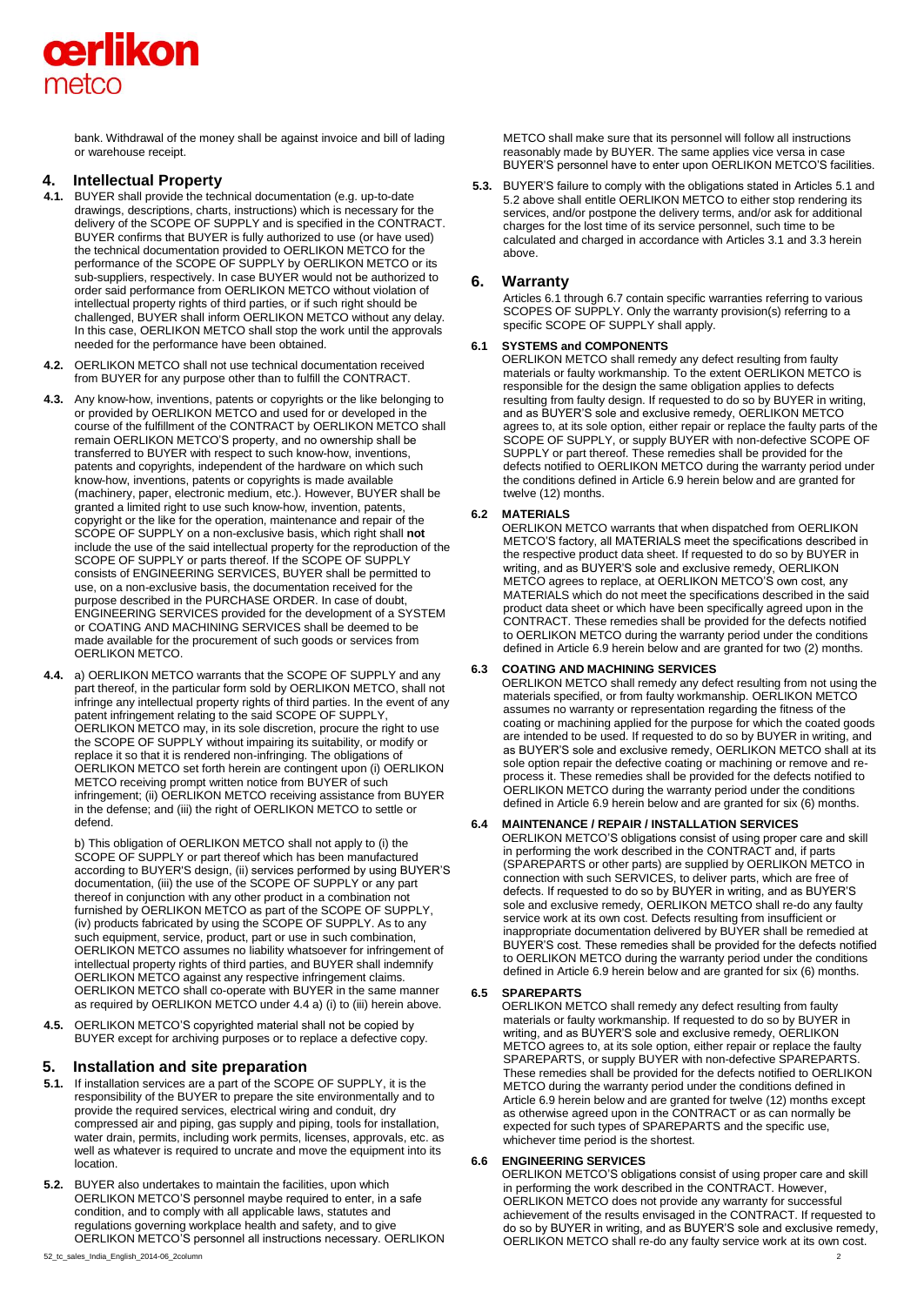

bank. Withdrawal of the money shall be against invoice and bill of lading or warehouse receipt.

# **4. Intellectual Property**

- **4.1.** BUYER shall provide the technical documentation (e.g. up-to-date drawings, descriptions, charts, instructions) which is necessary for the delivery of the SCOPE OF SUPPLY and is specified in the CONTRACT. BUYER confirms that BUYER is fully authorized to use (or have used) the technical documentation provided to OERLIKON METCO for the performance of the SCOPE OF SUPPLY by OERLIKON METCO or its sub-suppliers, respectively. In case BUYER would not be authorized to order said performance from OERLIKON METCO without violation of intellectual property rights of third parties, or if such right should be challenged, BUYER shall inform OERLIKON METCO without any delay. In this case, OERLIKON METCO shall stop the work until the approvals needed for the performance have been obtained.
- **4.2.** OERLIKON METCO shall not use technical documentation received from BUYER for any purpose other than to fulfill the CONTRACT.
- **4.3.** Any know-how, inventions, patents or copyrights or the like belonging to or provided by OERLIKON METCO and used for or developed in the course of the fulfillment of the CONTRACT by OERLIKON METCO shall remain OERLIKON METCO'S property, and no ownership shall be transferred to BUYER with respect to such know-how, inventions, patents and copyrights, independent of the hardware on which such know-how, inventions, patents or copyrights is made available (machinery, paper, electronic medium, etc.). However, BUYER shall be granted a limited right to use such know-how, invention, patents, copyright or the like for the operation, maintenance and repair of the SCOPE OF SUPPLY on a non-exclusive basis, which right shall **not** include the use of the said intellectual property for the reproduction of the SCOPE OF SUPPLY or parts thereof. If the SCOPE OF SUPPLY consists of ENGINEERING SERVICES, BUYER shall be permitted to use, on a non-exclusive basis, the documentation received for the purpose described in the PURCHASE ORDER. In case of doubt, ENGINEERING SERVICES provided for the development of a SYSTEM or COATING AND MACHINING SERVICES shall be deemed to be made available for the procurement of such goods or services from OERLIKON METCO.
- **4.4.** a) OERLIKON METCO warrants that the SCOPE OF SUPPLY and any part thereof, in the particular form sold by OERLIKON METCO, shall not infringe any intellectual property rights of third parties. In the event of any patent infringement relating to the said SCOPE OF SUPPLY, OERLIKON METCO may, in its sole discretion, procure the right to use the SCOPE OF SUPPLY without impairing its suitability, or modify or replace it so that it is rendered non-infringing. The obligations of OERLIKON METCO set forth herein are contingent upon (i) OERLIKON METCO receiving prompt written notice from BUYER of such infringement; (ii) OERLIKON METCO receiving assistance from BUYER in the defense; and (iii) the right of OERLIKON METCO to settle or defend.

b) This obligation of OERLIKON METCO shall not apply to (i) the SCOPE OF SUPPLY or part thereof which has been manufactured according to BUYER'S design, (ii) services performed by using BUYER'S documentation, (iii) the use of the SCOPE OF SUPPLY or any part thereof in conjunction with any other product in a combination not furnished by OERLIKON METCO as part of the SCOPE OF SUPPLY, (iv) products fabricated by using the SCOPE OF SUPPLY. As to any such equipment, service, product, part or use in such combination, OERLIKON METCO assumes no liability whatsoever for infringement of intellectual property rights of third parties, and BUYER shall indemnify OERLIKON METCO against any respective infringement claims. OERLIKON METCO shall co-operate with BUYER in the same manner as required by OERLIKON METCO under 4.4 a) (i) to (iii) herein above.

**4.5.** OERLIKON METCO'S copyrighted material shall not be copied by BUYER except for archiving purposes or to replace a defective copy.

## **5. Installation and site preparation**

- **5.1.** If installation services are a part of the SCOPE OF SUPPLY, it is the responsibility of the BUYER to prepare the site environmentally and to provide the required services, electrical wiring and conduit, dry compressed air and piping, gas supply and piping, tools for installation, water drain, permits, including work permits, licenses, approvals, etc. as well as whatever is required to uncrate and move the equipment into its location.
- **5.2.** BUYER also undertakes to maintain the facilities, upon which OERLIKON METCO'S personnel maybe required to enter, in a safe condition, and to comply with all applicable laws, statutes and regulations governing workplace health and safety, and to give OERLIKON METCO'S personnel all instructions necessary. OERLIKON

METCO shall make sure that its personnel will follow all instructions reasonably made by BUYER. The same applies vice versa in case BUYER'S personnel have to enter upon OERLIKON METCO'S facilities.

**5.3.** BUYER'S failure to comply with the obligations stated in Articles 5.1 and 5.2 above shall entitle OERLIKON METCO to either stop rendering its services, and/or postpone the delivery terms, and/or ask for additional charges for the lost time of its service personnel, such time to be calculated and charged in accordance with Articles 3.1 and 3.3 herein above.

## **6. Warranty**

Articles 6.1 through 6.7 contain specific warranties referring to various SCOPES OF SUPPLY. Only the warranty provision(s) referring to a specific SCOPE OF SUPPLY shall apply.

## **6.1 SYSTEMS and COMPONENTS**

OERLIKON METCO shall remedy any defect resulting from faulty materials or faulty workmanship. To the extent OERLIKON METCO is responsible for the design the same obligation applies to defects resulting from faulty design. If requested to do so by BUYER in writing, and as BUYER'S sole and exclusive remedy, OERLIKON METCO agrees to, at its sole option, either repair or replace the faulty parts of the SCOPE OF SUPPLY, or supply BUYER with non-defective SCOPE OF SUPPLY or part thereof. These remedies shall be provided for the defects notified to OERLIKON METCO during the warranty period under the conditions defined in Article 6.9 herein below and are granted for twelve (12) months.

#### **6.2 MATERIALS**

OERLIKON METCO warrants that when dispatched from OERLIKON METCO'S factory, all MATERIALS meet the specifications described in the respective product data sheet. If requested to do so by BUYER in writing, and as BUYER'S sole and exclusive remedy, OERLIKON METCO agrees to replace, at OERLIKON METCO'S own cost, any MATERIALS which do not meet the specifications described in the said product data sheet or which have been specifically agreed upon in the CONTRACT. These remedies shall be provided for the defects notified to OERLIKON METCO during the warranty period under the conditions defined in Article 6.9 herein below and are granted for two (2) months.

#### **6.3 COATING AND MACHINING SERVICES**

OERLIKON METCO shall remedy any defect resulting from not using the materials specified, or from faulty workmanship. OERLIKON METCC assumes no warranty or representation regarding the fitness of the coating or machining applied for the purpose for which the coated goods are intended to be used. If requested to do so by BUYER in writing, and as BUYER'S sole and exclusive remedy, OERLIKON METCO shall at its sole option repair the defective coating or machining or remove and reprocess it. These remedies shall be provided for the defects notified to OERLIKON METCO during the warranty period under the conditions defined in Article 6.9 herein below and are granted for six (6) months.

## **6.4 MAINTENANCE / REPAIR / INSTALLATION SERVICES**

OERLIKON METCO'S obligations consist of using proper care and skill in performing the work described in the CONTRACT and, if parts (SPAREPARTS or other parts) are supplied by OERLIKON METCO in connection with such SERVICES, to deliver parts, which are free of defects. If requested to do so by BUYER in writing, and as BUYER'S sole and exclusive remedy, OERLIKON METCO shall re-do any faulty service work at its own cost. Defects resulting from insufficient or inappropriate documentation delivered by BUYER shall be remedied at BUYER'S cost. These remedies shall be provided for the defects notified to OERLIKON METCO during the warranty period under the conditions defined in Article 6.9 herein below and are granted for six (6) months.

#### **6.5 SPAREPARTS**

OERLIKON METCO shall remedy any defect resulting from faulty materials or faulty workmanship. If requested to do so by BUYER in writing, and as BUYER'S sole and exclusive remedy, OERLIKON METCO agrees to, at its sole option, either repair or replace the faulty SPAREPARTS, or supply BUYER with non-defective SPAREPARTS. These remedies shall be provided for the defects notified to OERLIKON METCO during the warranty period under the conditions defined in Article 6.9 herein below and are granted for twelve (12) months except as otherwise agreed upon in the CONTRACT or as can normally be expected for such types of SPAREPARTS and the specific use, whichever time period is the shortest.

#### **6.6 ENGINEERING SERVICES**

OERLIKON METCO'S obligations consist of using proper care and skill in performing the work described in the CONTRACT. However, OERLIKON METCO does not provide any warranty for successful achievement of the results envisaged in the CONTRACT. If requested to do so by BUYER in writing, and as BUYER'S sole and exclusive remedy, OERLIKON METCO shall re-do any faulty service work at its own cost.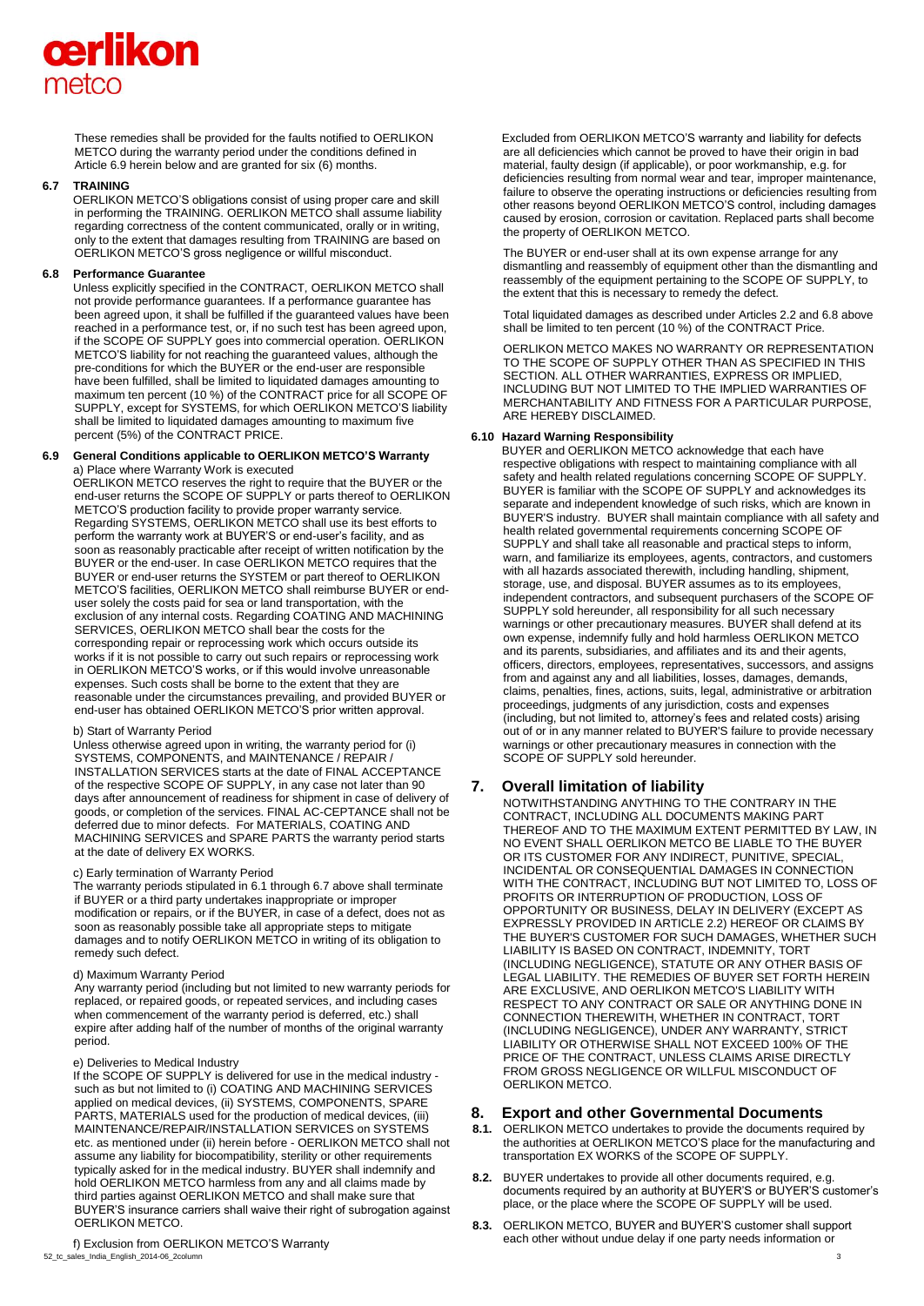# cerlikon metco

These remedies shall be provided for the faults notified to OERLIKON METCO during the warranty period under the conditions defined in Article 6.9 herein below and are granted for six (6) months.

#### **6.7 TRAINING**

OERLIKON METCO'S obligations consist of using proper care and skill in performing the TRAINING. OERLIKON METCO shall assume liability regarding correctness of the content communicated, orally or in writing, only to the extent that damages resulting from TRAINING are based on OERLIKON METCO'S gross negligence or willful misconduct.

#### **6.8 Performance Guarantee**

Unless explicitly specified in the CONTRACT, OERLIKON METCO shall not provide performance guarantees. If a performance guarantee has been agreed upon, it shall be fulfilled if the guaranteed values have been reached in a performance test, or, if no such test has been agreed upon, if the SCOPE OF SUPPLY goes into commercial operation. OERLIKON METCO'S liability for not reaching the guaranteed values, although the pre-conditions for which the BUYER or the end-user are responsible have been fulfilled, shall be limited to liquidated damages amounting to maximum ten percent (10 %) of the CONTRACT price for all SCOPE OF SUPPLY, except for SYSTEMS, for which OERLIKON METCO'S liability shall be limited to liquidated damages amounting to maximum five percent (5%) of the CONTRACT PRICE.

#### **6.9 General Conditions applicable to OERLIKON METCO'S Warranty**  a) Place where Warranty Work is executed

OERLIKON METCO reserves the right to require that the BUYER or the end-user returns the SCOPE OF SUPPLY or parts thereof to OERLIKON METCO'S production facility to provide proper warranty service. Regarding SYSTEMS, OERLIKON METCO shall use its best efforts to perform the warranty work at BUYER'S or end-user's facility, and as soon as reasonably practicable after receipt of written notification by the BUYER or the end-user. In case OERLIKON METCO requires that the BUYER or end-user returns the SYSTEM or part thereof to OERLIKON METCO'S facilities, OERLIKON METCO shall reimburse BUYER or enduser solely the costs paid for sea or land transportation, with the exclusion of any internal costs. Regarding COATING AND MACHINING SERVICES, OERLIKON METCO shall bear the costs for the corresponding repair or reprocessing work which occurs outside its works if it is not possible to carry out such repairs or reprocessing work in OERLIKON METCO'S works, or if this would involve unreasonable expenses. Such costs shall be borne to the extent that they are reasonable under the circumstances prevailing, and provided BUYER or end-user has obtained OERLIKON METCO'S prior written approval.

#### b) Start of Warranty Period

Unless otherwise agreed upon in writing, the warranty period for (i) SYSTEMS, COMPONENTS, and MAINTENANCE / REPAIR / INSTALLATION SERVICES starts at the date of FINAL ACCEPTANCE of the respective SCOPE OF SUPPLY, in any case not later than 90 days after announcement of readiness for shipment in case of delivery of goods, or completion of the services. FINAL AC-CEPTANCE shall not be deferred due to minor defects. For MATERIALS, COATING AND MACHINING SERVICES and SPARE PARTS the warranty period starts at the date of delivery EX WORKS.

#### c) Early termination of Warranty Period

The warranty periods stipulated in 6.1 through 6.7 above shall terminate if BUYER or a third party undertakes inappropriate or improper modification or repairs, or if the BUYER, in case of a defect, does not as soon as reasonably possible take all appropriate steps to mitigate damages and to notify OERLIKON METCO in writing of its obligation to remedy such defect.

#### d) Maximum Warranty Period

Any warranty period (including but not limited to new warranty periods for replaced, or repaired goods, or repeated services, and including cases when commencement of the warranty period is deferred, etc.) shall expire after adding half of the number of months of the original warranty period.

## e) Deliveries to Medical Industry

If the SCOPE OF SUPPLY is delivered for use in the medical industry such as but not limited to (i) COATING AND MACHINING SERVICES applied on medical devices, (ii) SYSTEMS, COMPONENTS, SPARE PARTS, MATERIALS used for the production of medical devices, (iii) MAINTENANCE/REPAIR/INSTALLATION SERVICES on SYSTEMS etc. as mentioned under (ii) herein before - OERLIKON METCO shall not assume any liability for biocompatibility, sterility or other requirements typically asked for in the medical industry. BUYER shall indemnify and hold OERLIKON METCO harmless from any and all claims made by third parties against OERLIKON METCO and shall make sure that BUYER'S insurance carriers shall waive their right of subrogation against OERLIKON METCO.

Excluded from OERLIKON METCO'S warranty and liability for defects are all deficiencies which cannot be proved to have their origin in bad material, faulty design (if applicable), or poor workmanship, e.g. for deficiencies resulting from normal wear and tear, improper maintenance, failure to observe the operating instructions or deficiencies resulting from other reasons beyond OERLIKON METCO'S control, including damages caused by erosion, corrosion or cavitation. Replaced parts shall become the property of OERLIKON METCO.

The BUYER or end-user shall at its own expense arrange for any dismantling and reassembly of equipment other than the dismantling and reassembly of the equipment pertaining to the SCOPE OF SUPPLY, to the extent that this is necessary to remedy the defect.

Total liquidated damages as described under Articles 2.2 and 6.8 above shall be limited to ten percent (10 %) of the CONTRACT Price.

OERLIKON METCO MAKES NO WARRANTY OR REPRESENTATION TO THE SCOPE OF SUPPLY OTHER THAN AS SPECIFIED IN THIS SECTION. ALL OTHER WARRANTIES, EXPRESS OR IMPLIED INCLUDING BUT NOT LIMITED TO THE IMPLIED WARRANTIES OF MERCHANTABILITY AND FITNESS FOR A PARTICULAR PURPOSE, ARE HEREBY DISCLAIMED.

## **6.10 Hazard Warning Responsibility**

BUYER and OERLIKON METCO acknowledge that each have respective obligations with respect to maintaining compliance with all safety and health related regulations concerning SCOPE OF SUPPLY. BUYER is familiar with the SCOPE OF SUPPLY and acknowledges its separate and independent knowledge of such risks, which are known in BUYER'S industry. BUYER shall maintain compliance with all safety and health related governmental requirements concerning SCOPE OF SUPPLY and shall take all reasonable and practical steps to inform, warn, and familiarize its employees, agents, contractors, and customers with all hazards associated therewith, including handling, shipment, storage, use, and disposal. BUYER assumes as to its employees, independent contractors, and subsequent purchasers of the SCOPE OF SUPPLY sold hereunder, all responsibility for all such necessary warnings or other precautionary measures. BUYER shall defend at its own expense, indemnify fully and hold harmless OERLIKON METCO and its parents, subsidiaries, and affiliates and its and their agents, officers, directors, employees, representatives, successors, and assigns from and against any and all liabilities, losses, damages, demands, claims, penalties, fines, actions, suits, legal, administrative or arbitration proceedings, judgments of any jurisdiction, costs and expenses (including, but not limited to, attorney's fees and related costs) arising out of or in any manner related to BUYER'S failure to provide necessary warnings or other precautionary measures in connection with the SCOPE OF SUPPLY sold hereunder.

## **7. Overall limitation of liability**

NOTWITHSTANDING ANYTHING TO THE CONTRARY IN THE CONTRACT, INCLUDING ALL DOCUMENTS MAKING PART THEREOF AND TO THE MAXIMUM EXTENT PERMITTED BY LAW, IN NO EVENT SHALL OERLIKON METCO BE LIABLE TO THE BUYER OR ITS CUSTOMER FOR ANY INDIRECT, PUNITIVE, SPECIAL INCIDENTAL OR CONSEQUENTIAL DAMAGES IN CONNECTION WITH THE CONTRACT, INCLUDING BUT NOT LIMITED TO, LOSS OF PROFITS OR INTERRUPTION OF PRODUCTION, LOSS OF OPPORTUNITY OR BUSINESS, DELAY IN DELIVERY (EXCEPT AS EXPRESSLY PROVIDED IN ARTICLE 2.2) HEREOF OR CLAIMS BY THE BUYER'S CUSTOMER FOR SUCH DAMAGES, WHETHER SUCH LIABILITY IS BASED ON CONTRACT, INDEMNITY, TORT (INCLUDING NEGLIGENCE), STATUTE OR ANY OTHER BASIS OF LEGAL LIABILITY. THE REMEDIES OF BUYER SET FORTH HEREIN ARE EXCLUSIVE, AND OERLIKON METCO'S LIABILITY WITH RESPECT TO ANY CONTRACT OR SALE OR ANYTHING DONE IN CONNECTION THEREWITH, WHETHER IN CONTRACT, TORT (INCLUDING NEGLIGENCE), UNDER ANY WARRANTY, STRICT LIABILITY OR OTHERWISE SHALL NOT EXCEED 100% OF THE PRICE OF THE CONTRACT, UNLESS CLAIMS ARISE DIRECTLY FROM GROSS NEGLIGENCE OR WILLFUL MISCONDUCT OF OERLIKON METCO.

#### **8. Export and other Governmental Documents**

- **8.1.** OERLIKON METCO undertakes to provide the documents required by the authorities at OERLIKON METCO'S place for the manufacturing and transportation EX WORKS of the SCOPE OF SUPPLY.
- **8.2.** BUYER undertakes to provide all other documents required, e.g. documents required by an authority at BUYER'S or BUYER'S customer's place, or the place where the SCOPE OF SUPPLY will be used.
- **8.3.** OERLIKON METCO, BUYER and BUYER'S customer shall support each other without undue delay if one party needs information or